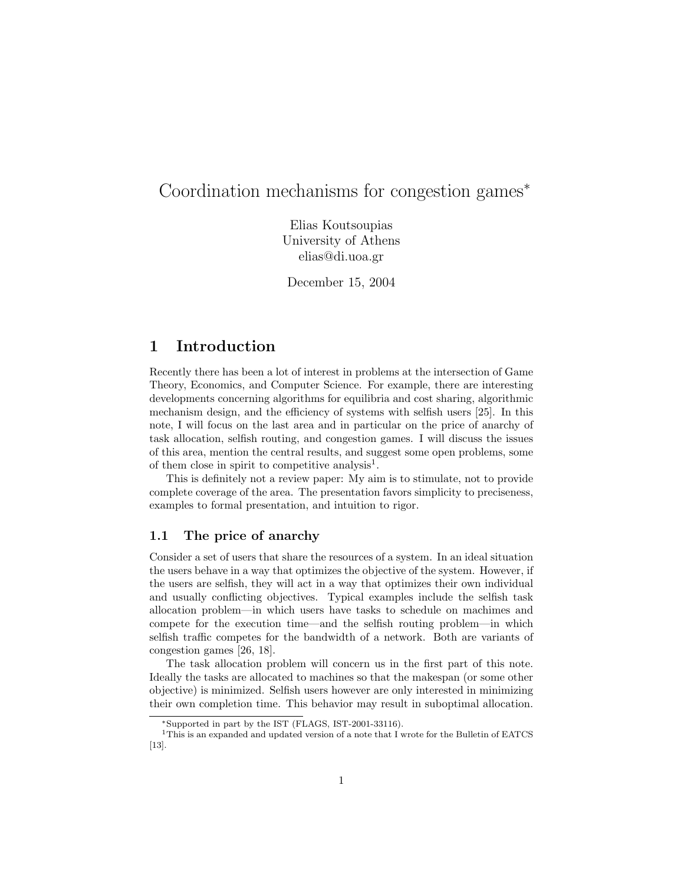# Coordination mechanisms for congestion games<sup>∗</sup>

Elias Koutsoupias University of Athens elias@di.uoa.gr

December 15, 2004

## 1 Introduction

Recently there has been a lot of interest in problems at the intersection of Game Theory, Economics, and Computer Science. For example, there are interesting developments concerning algorithms for equilibria and cost sharing, algorithmic mechanism design, and the efficiency of systems with selfish users [25]. In this note, I will focus on the last area and in particular on the price of anarchy of task allocation, selfish routing, and congestion games. I will discuss the issues of this area, mention the central results, and suggest some open problems, some of them close in spirit to competitive analysis<sup>1</sup>.

This is definitely not a review paper: My aim is to stimulate, not to provide complete coverage of the area. The presentation favors simplicity to preciseness, examples to formal presentation, and intuition to rigor.

#### 1.1 The price of anarchy

Consider a set of users that share the resources of a system. In an ideal situation the users behave in a way that optimizes the objective of the system. However, if the users are selfish, they will act in a way that optimizes their own individual and usually conflicting objectives. Typical examples include the selfish task allocation problem—in which users have tasks to schedule on machimes and compete for the execution time—and the selfish routing problem—in which selfish traffic competes for the bandwidth of a network. Both are variants of congestion games [26, 18].

The task allocation problem will concern us in the first part of this note. Ideally the tasks are allocated to machines so that the makespan (or some other objective) is minimized. Selfish users however are only interested in minimizing their own completion time. This behavior may result in suboptimal allocation.

<sup>∗</sup>Supported in part by the IST (FLAGS, IST-2001-33116).

<sup>&</sup>lt;sup>1</sup>This is an expanded and updated version of a note that I wrote for the Bulletin of EATCS [13].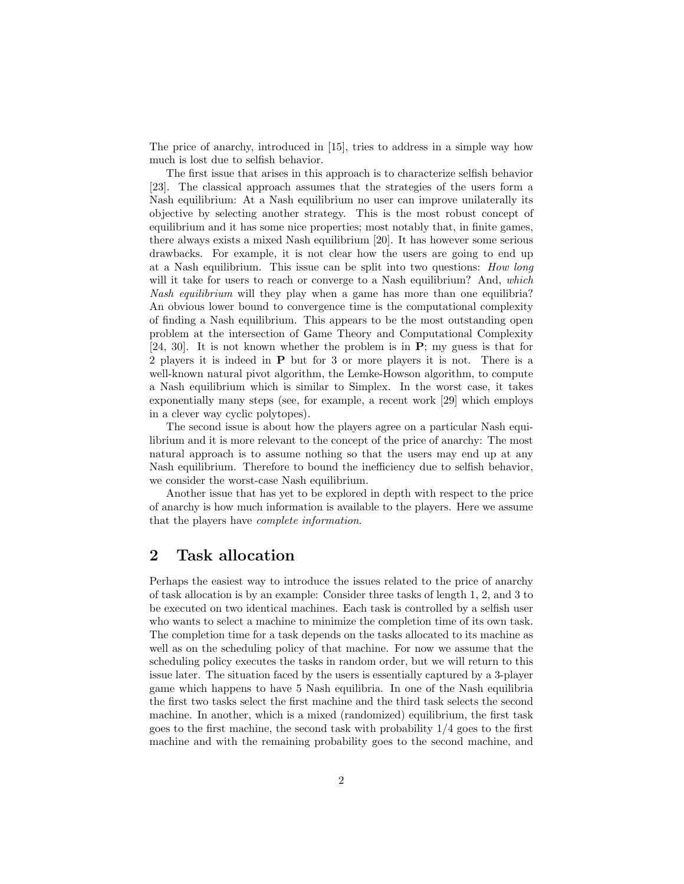The price of anarchy, introduced in [15], tries to address in a simple way how much is lost due to selfish behavior.

The first issue that arises in this approach is to characterize selfish behavior [23]. The classical approach assumes that the strategies of the users form a Nash equilibrium: At a Nash equilibrium no user can improve unilaterally its objective by selecting another strategy. This is the most robust concept of equilibrium and it has some nice properties; most notably that, in finite games, there always exists a mixed Nash equilibrium [20]. It has however some serious drawbacks. For example, it is not clear how the users are going to end up at a Nash equilibrium. This issue can be split into two questions: How long will it take for users to reach or converge to a Nash equilibrium? And, which Nash equilibrium will they play when a game has more than one equilibria? An obvious lower bound to convergence time is the computational complexity of finding a Nash equilibrium. This appears to be the most outstanding open problem at the intersection of Game Theory and Computational Complexity [24, 30]. It is not known whether the problem is in  $P$ ; my guess is that for 2 players it is indeed in P but for 3 or more players it is not. There is a well-known natural pivot algorithm, the Lemke-Howson algorithm, to compute a Nash equilibrium which is similar to Simplex. In the worst case, it takes exponentially many steps (see, for example, a recent work [29] which employs in a clever way cyclic polytopes).

The second issue is about how the players agree on a particular Nash equilibrium and it is more relevant to the concept of the price of anarchy: The most natural approach is to assume nothing so that the users may end up at any Nash equilibrium. Therefore to bound the inefficiency due to selfish behavior, we consider the worst-case Nash equilibrium.

Another issue that has yet to be explored in depth with respect to the price of anarchy is how much information is available to the players. Here we assume that the players have complete information.

### 2 Task allocation

Perhaps the easiest way to introduce the issues related to the price of anarchy of task allocation is by an example: Consider three tasks of length 1, 2, and 3 to be executed on two identical machines. Each task is controlled by a selfish user who wants to select a machine to minimize the completion time of its own task. The completion time for a task depends on the tasks allocated to its machine as well as on the scheduling policy of that machine. For now we assume that the scheduling policy executes the tasks in random order, but we will return to this issue later. The situation faced by the users is essentially captured by a 3-player game which happens to have 5 Nash equilibria. In one of the Nash equilibria the first two tasks select the first machine and the third task selects the second machine. In another, which is a mixed (randomized) equilibrium, the first task goes to the first machine, the second task with probability 1/4 goes to the first machine and with the remaining probability goes to the second machine, and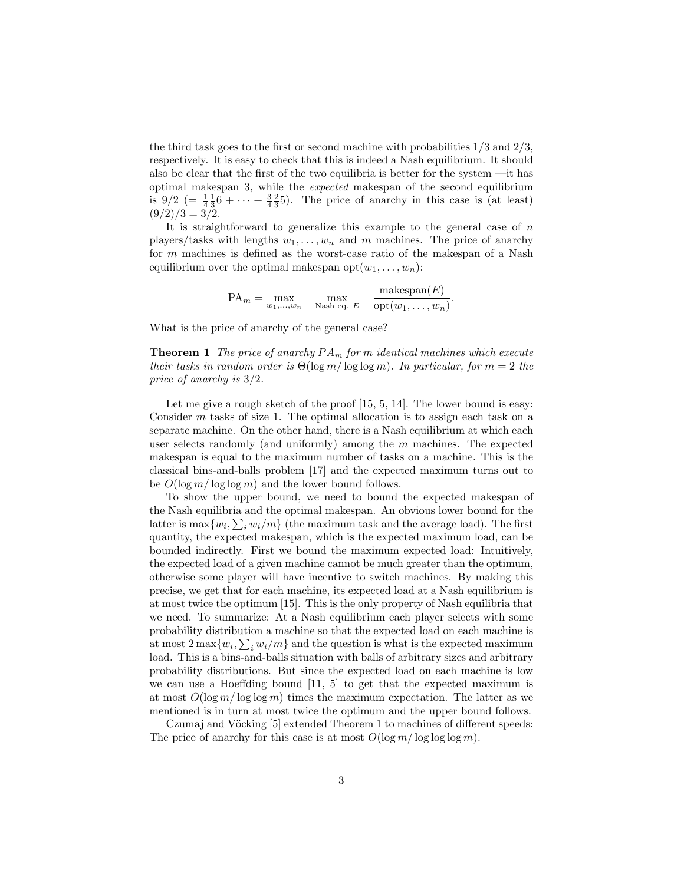the third task goes to the first or second machine with probabilities  $1/3$  and  $2/3$ , respectively. It is easy to check that this is indeed a Nash equilibrium. It should also be clear that the first of the two equilibria is better for the system —it has optimal makespan 3, while the expected makespan of the second equilibrium is  $9/2$  (=  $\frac{1}{4}$  $\frac{1}{3}$ 6 + ··· +  $\frac{3}{4}$  $\frac{2}{3}$ 5). The price of anarchy in this case is (at least)  $(9/2)/3 = 3/2.$ 

It is straightforward to generalize this example to the general case of  $n$ players/tasks with lengths  $w_1, \ldots, w_n$  and m machines. The price of anarchy for m machines is defined as the worst-case ratio of the makespan of a Nash equilibrium over the optimal makespan  $opt(w_1, \ldots, w_n)$ :

$$
PA_m = \max_{w_1, \dots, w_n} \quad \max_{\text{Nash eq. } E} \quad \frac{\text{makespan}(E)}{\text{opt}(w_1, \dots, w_n)}.
$$

What is the price of anarchy of the general case?

**Theorem 1** The price of anarchy  $PA_m$  for m identical machines which execute their tasks in random order is  $\Theta(\log m / \log \log m)$ . In particular, for  $m = 2$  the price of anarchy is 3/2.

Let me give a rough sketch of the proof [15, 5, 14]. The lower bound is easy: Consider  $m$  tasks of size 1. The optimal allocation is to assign each task on a separate machine. On the other hand, there is a Nash equilibrium at which each user selects randomly (and uniformly) among the  $m$  machines. The expected makespan is equal to the maximum number of tasks on a machine. This is the classical bins-and-balls problem [17] and the expected maximum turns out to be  $O(\log m / \log \log m)$  and the lower bound follows.

To show the upper bound, we need to bound the expected makespan of the Nash equilibria and the optimal makespan. An obvious lower bound for the latter is  $\max\{w_i, \sum_i w_i/m\}$  (the maximum task and the average load). The first quantity, the expected makespan, which is the expected maximum load, can be bounded indirectly. First we bound the maximum expected load: Intuitively, the expected load of a given machine cannot be much greater than the optimum, otherwise some player will have incentive to switch machines. By making this precise, we get that for each machine, its expected load at a Nash equilibrium is at most twice the optimum [15]. This is the only property of Nash equilibria that we need. To summarize: At a Nash equilibrium each player selects with some probability distribution a machine so that the expected load on each machine is at most  $2 \max\{w_i, \sum_i w_i/m\}$  and the question is what is the expected maximum load. This is a bins-and-balls situation with balls of arbitrary sizes and arbitrary probability distributions. But since the expected load on each machine is low we can use a Hoeffding bound [11, 5] to get that the expected maximum is at most  $O(\log m / \log \log m)$  times the maximum expectation. The latter as we mentioned is in turn at most twice the optimum and the upper bound follows.

Czumaj and Vöcking [5] extended Theorem 1 to machines of different speeds: The price of anarchy for this case is at most  $O(\log m / \log \log \log m)$ .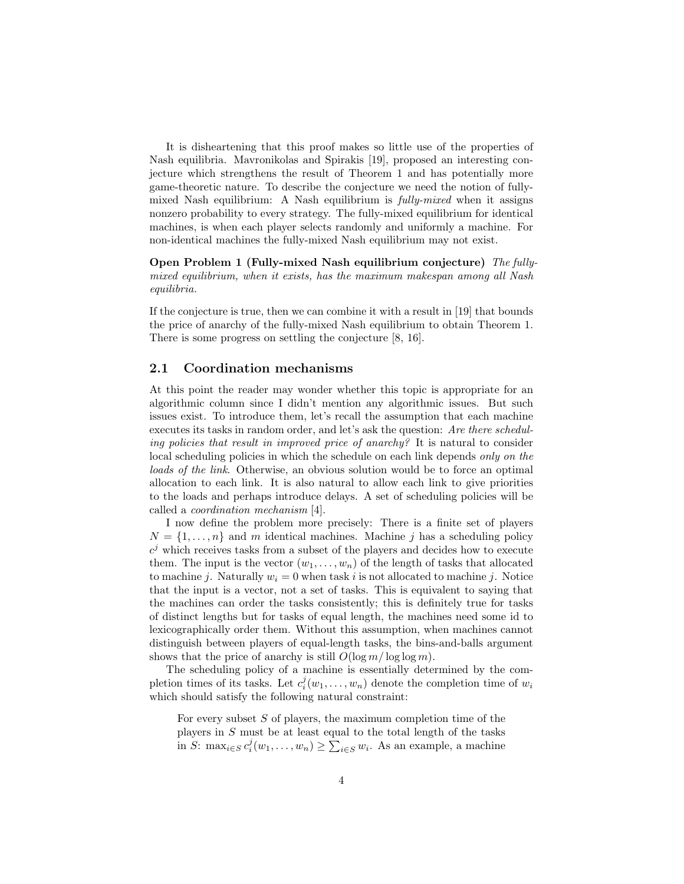It is disheartening that this proof makes so little use of the properties of Nash equilibria. Mavronikolas and Spirakis [19], proposed an interesting conjecture which strengthens the result of Theorem 1 and has potentially more game-theoretic nature. To describe the conjecture we need the notion of fullymixed Nash equilibrium: A Nash equilibrium is fully-mixed when it assigns nonzero probability to every strategy. The fully-mixed equilibrium for identical machines, is when each player selects randomly and uniformly a machine. For non-identical machines the fully-mixed Nash equilibrium may not exist.

Open Problem 1 (Fully-mixed Nash equilibrium conjecture) The fullymixed equilibrium, when it exists, has the maximum makespan among all Nash equilibria.

If the conjecture is true, then we can combine it with a result in [19] that bounds the price of anarchy of the fully-mixed Nash equilibrium to obtain Theorem 1. There is some progress on settling the conjecture [8, 16].

#### 2.1 Coordination mechanisms

At this point the reader may wonder whether this topic is appropriate for an algorithmic column since I didn't mention any algorithmic issues. But such issues exist. To introduce them, let's recall the assumption that each machine executes its tasks in random order, and let's ask the question: Are there scheduling policies that result in improved price of anarchy? It is natural to consider local scheduling policies in which the schedule on each link depends only on the loads of the link. Otherwise, an obvious solution would be to force an optimal allocation to each link. It is also natural to allow each link to give priorities to the loads and perhaps introduce delays. A set of scheduling policies will be called a coordination mechanism [4].

I now define the problem more precisely: There is a finite set of players  $N = \{1, \ldots, n\}$  and m identical machines. Machine j has a scheduling policy  $c^j$  which receives tasks from a subset of the players and decides how to execute them. The input is the vector  $(w_1, \ldots, w_n)$  of the length of tasks that allocated to machine j. Naturally  $w_i = 0$  when task i is not allocated to machine j. Notice that the input is a vector, not a set of tasks. This is equivalent to saying that the machines can order the tasks consistently; this is definitely true for tasks of distinct lengths but for tasks of equal length, the machines need some id to lexicographically order them. Without this assumption, when machines cannot distinguish between players of equal-length tasks, the bins-and-balls argument shows that the price of anarchy is still  $O(\log m / \log \log m)$ .

The scheduling policy of a machine is essentially determined by the completion times of its tasks. Let  $c_i^j(w_1,\ldots,w_n)$  denote the completion time of  $w_i$ which should satisfy the following natural constraint:

For every subset  $S$  of players, the maximum completion time of the players in S must be at least equal to the total length of the tasks in S: max<sub>i∈S</sub>  $c_i^j(w_1,\ldots,w_n) \geq \sum_{i \in S} w_i$ . As an example, a machine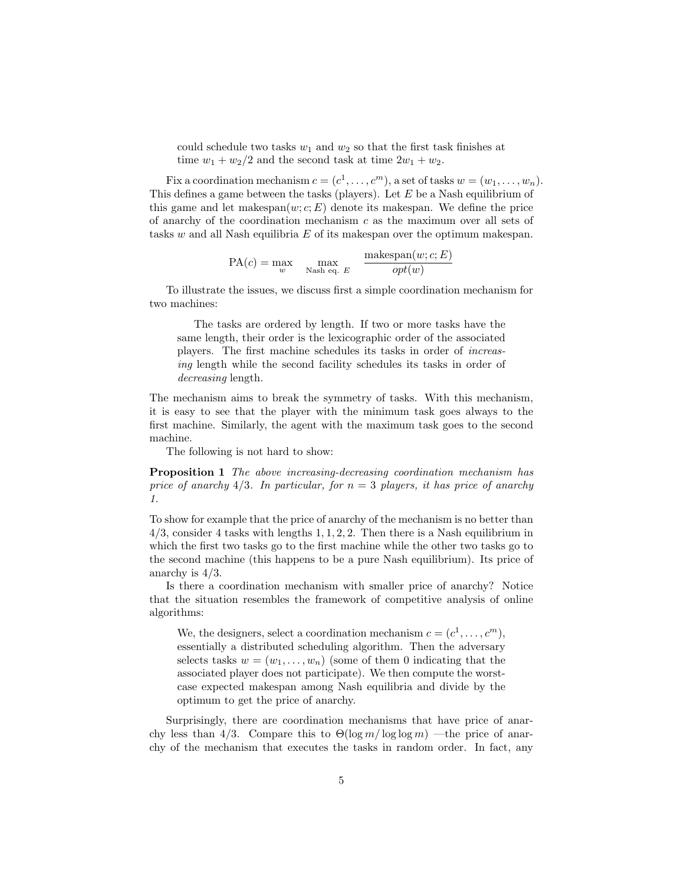could schedule two tasks  $w_1$  and  $w_2$  so that the first task finishes at time  $w_1 + w_2/2$  and the second task at time  $2w_1 + w_2$ .

Fix a coordination mechanism  $c = (c^1, \ldots, c^m)$ , a set of tasks  $w = (w_1, \ldots, w_n)$ . This defines a game between the tasks (players). Let  $E$  be a Nash equilibrium of this game and let makespan $(w; c; E)$  denote its makespan. We define the price of anarchy of the coordination mechanism  $c$  as the maximum over all sets of tasks  $w$  and all Nash equilibria  $E$  of its makespan over the optimum makespan.

$$
PA(c) = \max_{w} \max_{\text{Nash eq. } E} \frac{\text{makespan}(w; c; E)}{\text{opt}(w)}
$$

To illustrate the issues, we discuss first a simple coordination mechanism for two machines:

The tasks are ordered by length. If two or more tasks have the same length, their order is the lexicographic order of the associated players. The first machine schedules its tasks in order of increasing length while the second facility schedules its tasks in order of decreasing length.

The mechanism aims to break the symmetry of tasks. With this mechanism, it is easy to see that the player with the minimum task goes always to the first machine. Similarly, the agent with the maximum task goes to the second machine.

The following is not hard to show:

Proposition 1 The above increasing-decreasing coordination mechanism has price of anarchy 4/3. In particular, for  $n = 3$  players, it has price of anarchy 1.

To show for example that the price of anarchy of the mechanism is no better than  $4/3$ , consider 4 tasks with lengths 1, 1, 2, 2. Then there is a Nash equilibrium in which the first two tasks go to the first machine while the other two tasks go to the second machine (this happens to be a pure Nash equilibrium). Its price of anarchy is 4/3.

Is there a coordination mechanism with smaller price of anarchy? Notice that the situation resembles the framework of competitive analysis of online algorithms:

We, the designers, select a coordination mechanism  $c = (c^1, \ldots, c^m)$ , essentially a distributed scheduling algorithm. Then the adversary selects tasks  $w = (w_1, \ldots, w_n)$  (some of them 0 indicating that the associated player does not participate). We then compute the worstcase expected makespan among Nash equilibria and divide by the optimum to get the price of anarchy.

Surprisingly, there are coordination mechanisms that have price of anarchy less than 4/3. Compare this to  $\Theta(\log m / \log \log m)$  —the price of anarchy of the mechanism that executes the tasks in random order. In fact, any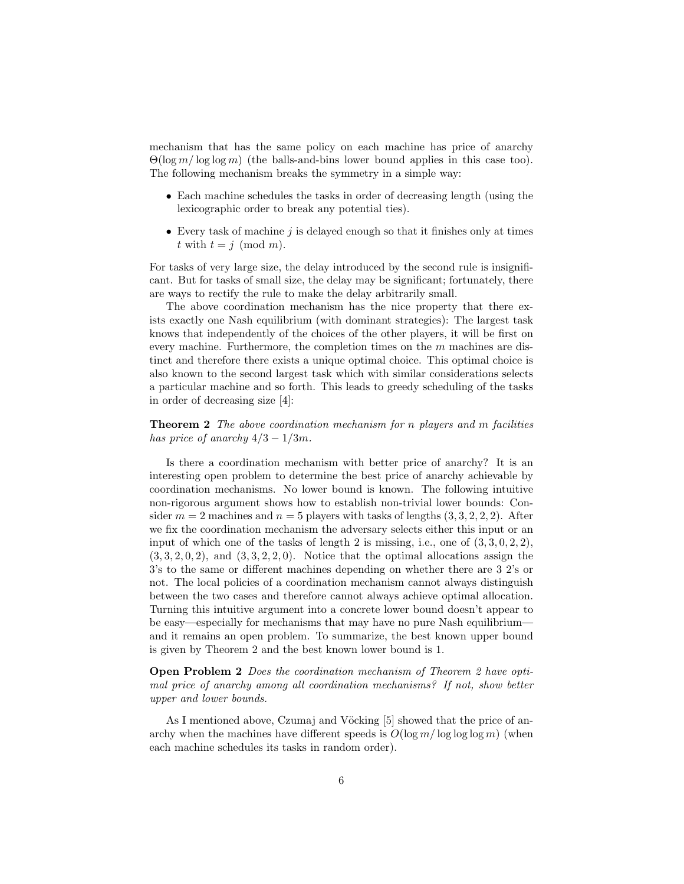mechanism that has the same policy on each machine has price of anarchy  $\Theta(\log m / \log \log m)$  (the balls-and-bins lower bound applies in this case too). The following mechanism breaks the symmetry in a simple way:

- Each machine schedules the tasks in order of decreasing length (using the lexicographic order to break any potential ties).
- Every task of machine  $j$  is delayed enough so that it finishes only at times t with  $t = j \pmod{m}$ .

For tasks of very large size, the delay introduced by the second rule is insignificant. But for tasks of small size, the delay may be significant; fortunately, there are ways to rectify the rule to make the delay arbitrarily small.

The above coordination mechanism has the nice property that there exists exactly one Nash equilibrium (with dominant strategies): The largest task knows that independently of the choices of the other players, it will be first on every machine. Furthermore, the completion times on the m machines are distinct and therefore there exists a unique optimal choice. This optimal choice is also known to the second largest task which with similar considerations selects a particular machine and so forth. This leads to greedy scheduling of the tasks in order of decreasing size [4]:

#### **Theorem 2** The above coordination mechanism for n players and m facilities has price of anarchy  $4/3 - 1/3m$ .

Is there a coordination mechanism with better price of anarchy? It is an interesting open problem to determine the best price of anarchy achievable by coordination mechanisms. No lower bound is known. The following intuitive non-rigorous argument shows how to establish non-trivial lower bounds: Consider  $m = 2$  machines and  $n = 5$  players with tasks of lengths  $(3, 3, 2, 2, 2)$ . After we fix the coordination mechanism the adversary selects either this input or an input of which one of the tasks of length 2 is missing, i.e., one of  $(3,3,0,2,2)$ ,  $(3,3,2,0,2)$ , and  $(3,3,2,2,0)$ . Notice that the optimal allocations assign the 3's to the same or different machines depending on whether there are 3 2's or not. The local policies of a coordination mechanism cannot always distinguish between the two cases and therefore cannot always achieve optimal allocation. Turning this intuitive argument into a concrete lower bound doesn't appear to be easy—especially for mechanisms that may have no pure Nash equilibrium and it remains an open problem. To summarize, the best known upper bound is given by Theorem 2 and the best known lower bound is 1.

#### Open Problem 2 Does the coordination mechanism of Theorem 2 have optimal price of anarchy among all coordination mechanisms? If not, show better upper and lower bounds.

As I mentioned above, Czumaj and Vöcking [5] showed that the price of anarchy when the machines have different speeds is  $O(\log m / \log \log \log m)$  (when each machine schedules its tasks in random order).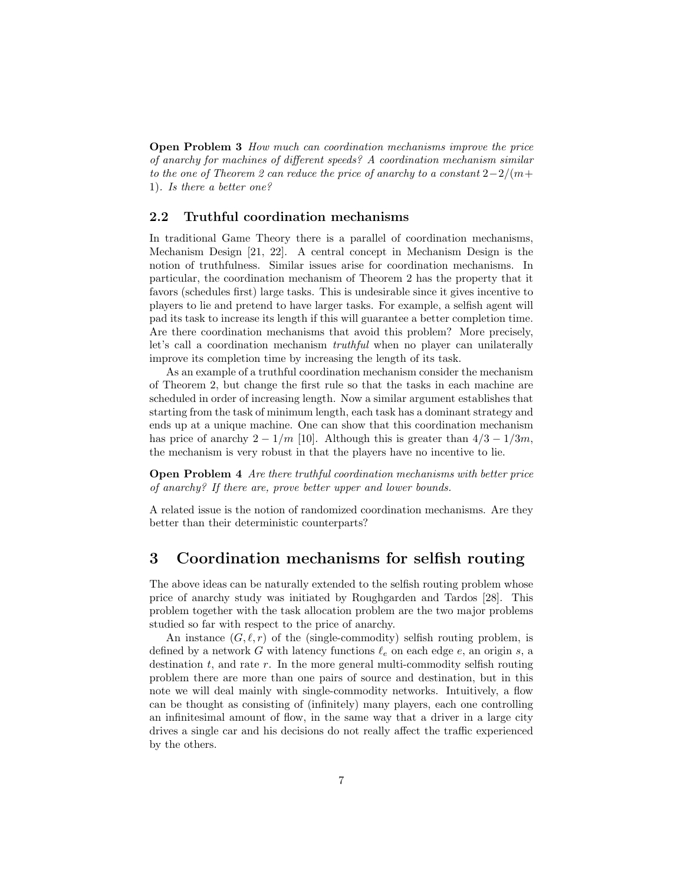Open Problem 3 How much can coordination mechanisms improve the price of anarchy for machines of different speeds? A coordination mechanism similar to the one of Theorem 2 can reduce the price of anarchy to a constant  $2-2/(m+1)$ 1). Is there a better one?

#### 2.2 Truthful coordination mechanisms

In traditional Game Theory there is a parallel of coordination mechanisms, Mechanism Design [21, 22]. A central concept in Mechanism Design is the notion of truthfulness. Similar issues arise for coordination mechanisms. In particular, the coordination mechanism of Theorem 2 has the property that it favors (schedules first) large tasks. This is undesirable since it gives incentive to players to lie and pretend to have larger tasks. For example, a selfish agent will pad its task to increase its length if this will guarantee a better completion time. Are there coordination mechanisms that avoid this problem? More precisely, let's call a coordination mechanism *truthful* when no player can unilaterally improve its completion time by increasing the length of its task.

As an example of a truthful coordination mechanism consider the mechanism of Theorem 2, but change the first rule so that the tasks in each machine are scheduled in order of increasing length. Now a similar argument establishes that starting from the task of minimum length, each task has a dominant strategy and ends up at a unique machine. One can show that this coordination mechanism has price of anarchy  $2 - 1/m$  [10]. Although this is greater than  $4/3 - 1/3m$ , the mechanism is very robust in that the players have no incentive to lie.

Open Problem 4 Are there truthful coordination mechanisms with better price of anarchy? If there are, prove better upper and lower bounds.

A related issue is the notion of randomized coordination mechanisms. Are they better than their deterministic counterparts?

## 3 Coordination mechanisms for selfish routing

The above ideas can be naturally extended to the selfish routing problem whose price of anarchy study was initiated by Roughgarden and Tardos [28]. This problem together with the task allocation problem are the two major problems studied so far with respect to the price of anarchy.

An instance  $(G, \ell, r)$  of the (single-commodity) selfish routing problem, is defined by a network G with latency functions  $\ell_e$  on each edge e, an origin s, a destination  $t$ , and rate  $r$ . In the more general multi-commodity selfish routing problem there are more than one pairs of source and destination, but in this note we will deal mainly with single-commodity networks. Intuitively, a flow can be thought as consisting of (infinitely) many players, each one controlling an infinitesimal amount of flow, in the same way that a driver in a large city drives a single car and his decisions do not really affect the traffic experienced by the others.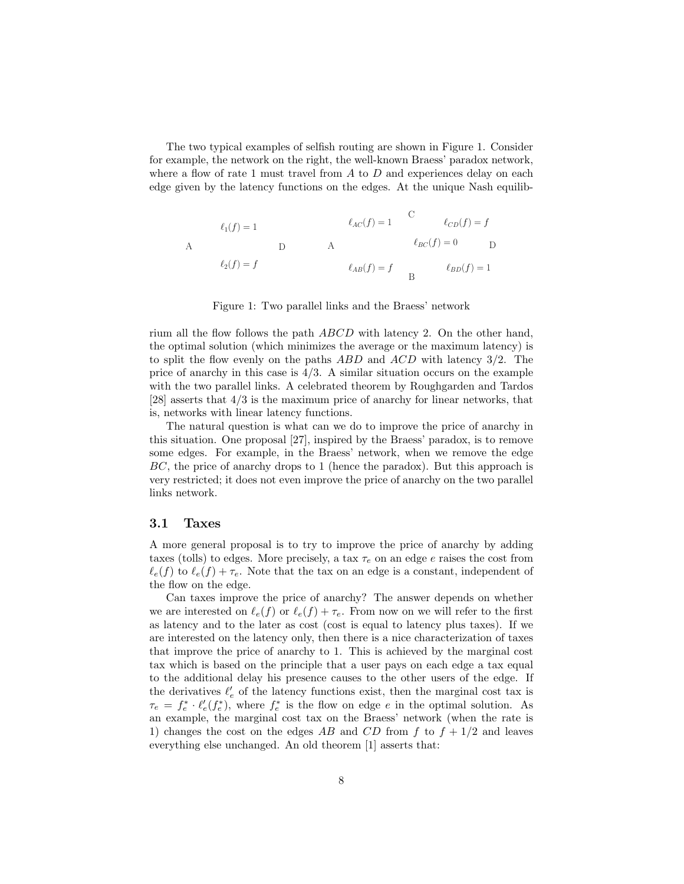The two typical examples of selfish routing are shown in Figure 1. Consider for example, the network on the right, the well-known Braess' paradox network, where a flow of rate 1 must travel from  $A$  to  $D$  and experiences delay on each edge given by the latency functions on the edges. At the unique Nash equilib-

$$
\ell_1(f) = 1
$$
\n
$$
\ell_{AC}(f) = 1
$$
\n
$$
\ell_{BC}(f) = f
$$
\n
$$
\ell_{BC}(f) = 0
$$
\n
$$
\ell_{BD}(f) = 0
$$
\n
$$
\ell_{AB}(f) = f
$$
\n
$$
\ell_{BD}(f) = 1
$$
\n
$$
\ell_{BD}(f) = 1
$$

Figure 1: Two parallel links and the Braess' network

rium all the flow follows the path ABCD with latency 2. On the other hand, the optimal solution (which minimizes the average or the maximum latency) is to split the flow evenly on the paths ABD and ACD with latency 3/2. The price of anarchy in this case is  $4/3$ . A similar situation occurs on the example with the two parallel links. A celebrated theorem by Roughgarden and Tardos [28] asserts that 4/3 is the maximum price of anarchy for linear networks, that is, networks with linear latency functions.

The natural question is what can we do to improve the price of anarchy in this situation. One proposal [27], inspired by the Braess' paradox, is to remove some edges. For example, in the Braess' network, when we remove the edge BC, the price of anarchy drops to 1 (hence the paradox). But this approach is very restricted; it does not even improve the price of anarchy on the two parallel links network.

#### 3.1 Taxes

A more general proposal is to try to improve the price of anarchy by adding taxes (tolls) to edges. More precisely, a tax  $\tau_e$  on an edge e raises the cost from  $\ell_e(f)$  to  $\ell_e(f) + \tau_e$ . Note that the tax on an edge is a constant, independent of the flow on the edge.

Can taxes improve the price of anarchy? The answer depends on whether we are interested on  $\ell_e(f)$  or  $\ell_e(f) + \tau_e$ . From now on we will refer to the first as latency and to the later as cost (cost is equal to latency plus taxes). If we are interested on the latency only, then there is a nice characterization of taxes that improve the price of anarchy to 1. This is achieved by the marginal cost tax which is based on the principle that a user pays on each edge a tax equal to the additional delay his presence causes to the other users of the edge. If the derivatives  $\ell_e'$  of the latency functions exist, then the marginal cost tax is  $\tau_e = f_e^* \cdot \ell'_e(f_e^*)$ , where  $f_e^*$  is the flow on edge e in the optimal solution. As an example, the marginal cost tax on the Braess' network (when the rate is 1) changes the cost on the edges AB and CD from f to  $f + 1/2$  and leaves everything else unchanged. An old theorem [1] asserts that: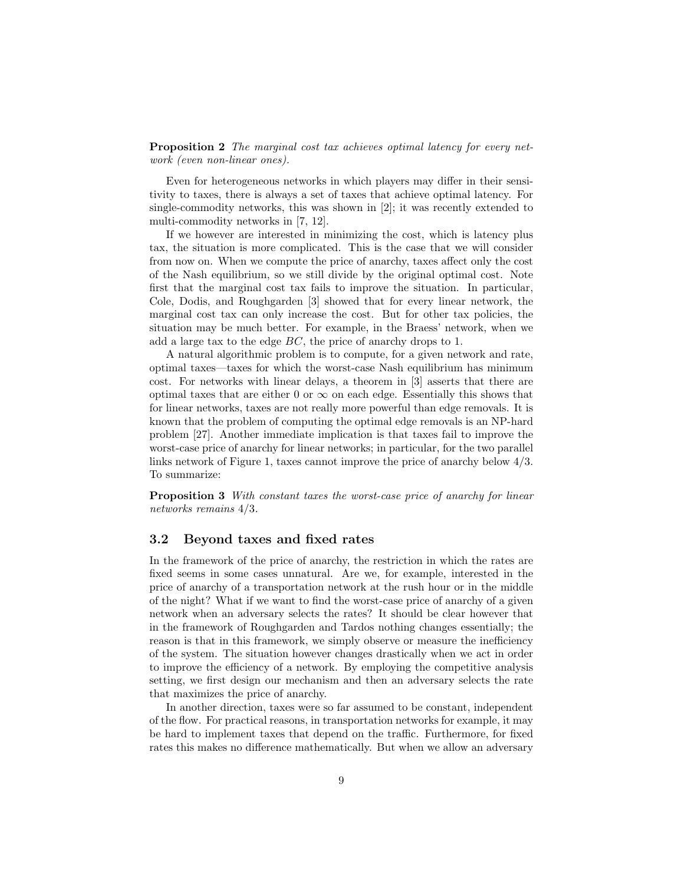Proposition 2 The marginal cost tax achieves optimal latency for every network (even non-linear ones).

Even for heterogeneous networks in which players may differ in their sensitivity to taxes, there is always a set of taxes that achieve optimal latency. For single-commodity networks, this was shown in [2]; it was recently extended to multi-commodity networks in [7, 12].

If we however are interested in minimizing the cost, which is latency plus tax, the situation is more complicated. This is the case that we will consider from now on. When we compute the price of anarchy, taxes affect only the cost of the Nash equilibrium, so we still divide by the original optimal cost. Note first that the marginal cost tax fails to improve the situation. In particular, Cole, Dodis, and Roughgarden [3] showed that for every linear network, the marginal cost tax can only increase the cost. But for other tax policies, the situation may be much better. For example, in the Braess' network, when we add a large tax to the edge BC, the price of anarchy drops to 1.

A natural algorithmic problem is to compute, for a given network and rate, optimal taxes—taxes for which the worst-case Nash equilibrium has minimum cost. For networks with linear delays, a theorem in [3] asserts that there are optimal taxes that are either 0 or  $\infty$  on each edge. Essentially this shows that for linear networks, taxes are not really more powerful than edge removals. It is known that the problem of computing the optimal edge removals is an NP-hard problem [27]. Another immediate implication is that taxes fail to improve the worst-case price of anarchy for linear networks; in particular, for the two parallel links network of Figure 1, taxes cannot improve the price of anarchy below 4/3. To summarize:

Proposition 3 With constant taxes the worst-case price of anarchy for linear networks remains 4/3.

#### 3.2 Beyond taxes and fixed rates

In the framework of the price of anarchy, the restriction in which the rates are fixed seems in some cases unnatural. Are we, for example, interested in the price of anarchy of a transportation network at the rush hour or in the middle of the night? What if we want to find the worst-case price of anarchy of a given network when an adversary selects the rates? It should be clear however that in the framework of Roughgarden and Tardos nothing changes essentially; the reason is that in this framework, we simply observe or measure the inefficiency of the system. The situation however changes drastically when we act in order to improve the efficiency of a network. By employing the competitive analysis setting, we first design our mechanism and then an adversary selects the rate that maximizes the price of anarchy.

In another direction, taxes were so far assumed to be constant, independent of the flow. For practical reasons, in transportation networks for example, it may be hard to implement taxes that depend on the traffic. Furthermore, for fixed rates this makes no difference mathematically. But when we allow an adversary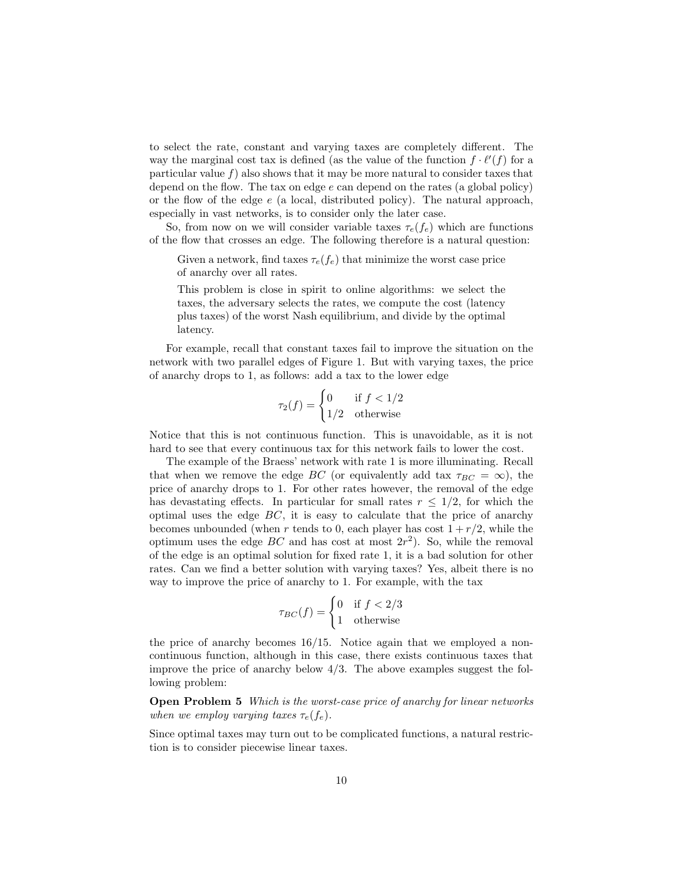to select the rate, constant and varying taxes are completely different. The way the marginal cost tax is defined (as the value of the function  $f \cdot \ell'(f)$  for a particular value  $f$ ) also shows that it may be more natural to consider taxes that depend on the flow. The tax on edge e can depend on the rates (a global policy) or the flow of the edge  $e$  (a local, distributed policy). The natural approach, especially in vast networks, is to consider only the later case.

So, from now on we will consider variable taxes  $\tau_e(f_e)$  which are functions of the flow that crosses an edge. The following therefore is a natural question:

Given a network, find taxes  $\tau_e(f_e)$  that minimize the worst case price of anarchy over all rates.

This problem is close in spirit to online algorithms: we select the taxes, the adversary selects the rates, we compute the cost (latency plus taxes) of the worst Nash equilibrium, and divide by the optimal latency.

For example, recall that constant taxes fail to improve the situation on the network with two parallel edges of Figure 1. But with varying taxes, the price of anarchy drops to 1, as follows: add a tax to the lower edge

$$
\tau_2(f) = \begin{cases} 0 & \text{if } f < 1/2 \\ 1/2 & \text{otherwise} \end{cases}
$$

Notice that this is not continuous function. This is unavoidable, as it is not hard to see that every continuous tax for this network fails to lower the cost.

The example of the Braess' network with rate 1 is more illuminating. Recall that when we remove the edge BC (or equivalently add tax  $\tau_{BC} = \infty$ ), the price of anarchy drops to 1. For other rates however, the removal of the edge has devastating effects. In particular for small rates  $r \leq 1/2$ , for which the optimal uses the edge  $BC$ , it is easy to calculate that the price of anarchy becomes unbounded (when r tends to 0, each player has cost  $1 + r/2$ , while the optimum uses the edge  $BC$  and has cost at most  $2r^2$ ). So, while the removal of the edge is an optimal solution for fixed rate 1, it is a bad solution for other rates. Can we find a better solution with varying taxes? Yes, albeit there is no way to improve the price of anarchy to 1. For example, with the tax

$$
\tau_{BC}(f) = \begin{cases} 0 & \text{if } f < 2/3 \\ 1 & \text{otherwise} \end{cases}
$$

the price of anarchy becomes 16/15. Notice again that we employed a noncontinuous function, although in this case, there exists continuous taxes that improve the price of anarchy below  $4/3$ . The above examples suggest the following problem:

**Open Problem 5** Which is the worst-case price of anarchy for linear networks when we employ varying taxes  $\tau_e(f_e)$ .

Since optimal taxes may turn out to be complicated functions, a natural restriction is to consider piecewise linear taxes.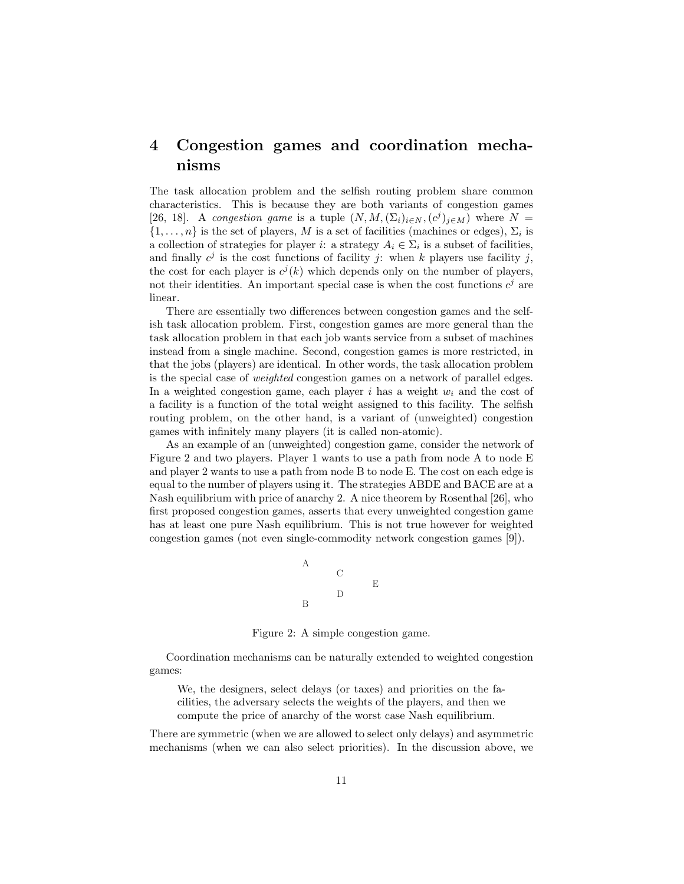# 4 Congestion games and coordination mechanisms

The task allocation problem and the selfish routing problem share common characteristics. This is because they are both variants of congestion games [26, 18]. A congestion game is a tuple  $(N, M, (\Sigma_i)_{i \in N}, (c^j)_{j \in M})$  where  $N =$  $\{1, \ldots, n\}$  is the set of players, M is a set of facilities (machines or edges),  $\Sigma_i$  is a collection of strategies for player *i*: a strategy  $A_i \in \Sigma_i$  is a subset of facilities, and finally  $c^j$  is the cost functions of facility j: when k players use facility j, the cost for each player is  $c^{j}(k)$  which depends only on the number of players, not their identities. An important special case is when the cost functions  $c^j$  are linear.

There are essentially two differences between congestion games and the selfish task allocation problem. First, congestion games are more general than the task allocation problem in that each job wants service from a subset of machines instead from a single machine. Second, congestion games is more restricted, in that the jobs (players) are identical. In other words, the task allocation problem is the special case of weighted congestion games on a network of parallel edges. In a weighted congestion game, each player i has a weight  $w_i$  and the cost of a facility is a function of the total weight assigned to this facility. The selfish routing problem, on the other hand, is a variant of (unweighted) congestion games with infinitely many players (it is called non-atomic).

As an example of an (unweighted) congestion game, consider the network of Figure 2 and two players. Player 1 wants to use a path from node A to node E and player 2 wants to use a path from node B to node E. The cost on each edge is equal to the number of players using it. The strategies ABDE and BACE are at a Nash equilibrium with price of anarchy 2. A nice theorem by Rosenthal [26], who first proposed congestion games, asserts that every unweighted congestion game has at least one pure Nash equilibrium. This is not true however for weighted congestion games (not even single-commodity network congestion games [9]).



Figure 2: A simple congestion game.

Coordination mechanisms can be naturally extended to weighted congestion games:

We, the designers, select delays (or taxes) and priorities on the facilities, the adversary selects the weights of the players, and then we compute the price of anarchy of the worst case Nash equilibrium.

There are symmetric (when we are allowed to select only delays) and asymmetric mechanisms (when we can also select priorities). In the discussion above, we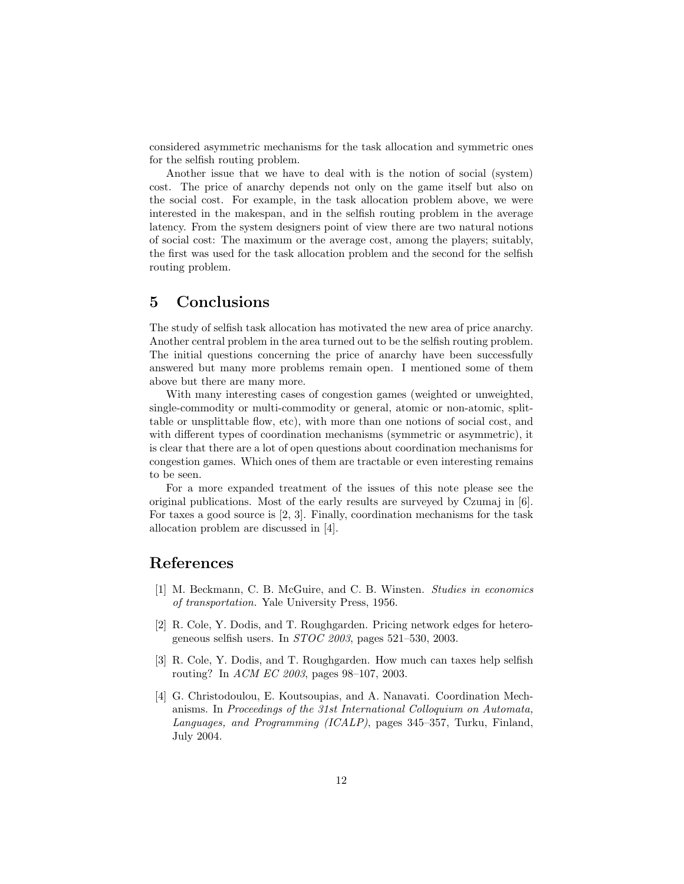considered asymmetric mechanisms for the task allocation and symmetric ones for the selfish routing problem.

Another issue that we have to deal with is the notion of social (system) cost. The price of anarchy depends not only on the game itself but also on the social cost. For example, in the task allocation problem above, we were interested in the makespan, and in the selfish routing problem in the average latency. From the system designers point of view there are two natural notions of social cost: The maximum or the average cost, among the players; suitably, the first was used for the task allocation problem and the second for the selfish routing problem.

## 5 Conclusions

The study of selfish task allocation has motivated the new area of price anarchy. Another central problem in the area turned out to be the selfish routing problem. The initial questions concerning the price of anarchy have been successfully answered but many more problems remain open. I mentioned some of them above but there are many more.

With many interesting cases of congestion games (weighted or unweighted, single-commodity or multi-commodity or general, atomic or non-atomic, splittable or unsplittable flow, etc), with more than one notions of social cost, and with different types of coordination mechanisms (symmetric or asymmetric), it is clear that there are a lot of open questions about coordination mechanisms for congestion games. Which ones of them are tractable or even interesting remains to be seen.

For a more expanded treatment of the issues of this note please see the original publications. Most of the early results are surveyed by Czumaj in [6]. For taxes a good source is [2, 3]. Finally, coordination mechanisms for the task allocation problem are discussed in [4].

### References

- [1] M. Beckmann, C. B. McGuire, and C. B. Winsten. Studies in economics of transportation. Yale University Press, 1956.
- [2] R. Cole, Y. Dodis, and T. Roughgarden. Pricing network edges for heterogeneous selfish users. In STOC 2003, pages 521–530, 2003.
- [3] R. Cole, Y. Dodis, and T. Roughgarden. How much can taxes help selfish routing? In ACM EC 2003, pages 98–107, 2003.
- [4] G. Christodoulou, E. Koutsoupias, and A. Nanavati. Coordination Mechanisms. In Proceedings of the 31st International Colloquium on Automata, Languages, and Programming (ICALP), pages 345–357, Turku, Finland, July 2004.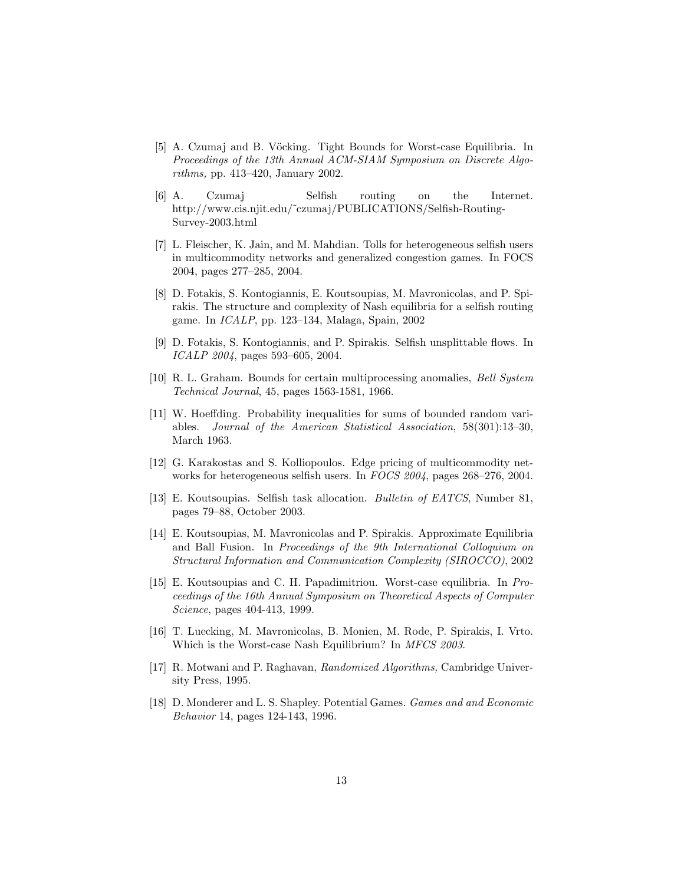- [5] A. Czumaj and B. Vöcking. Tight Bounds for Worst-case Equilibria. In Proceedings of the 13th Annual ACM-SIAM Symposium on Discrete Algorithms, pp. 413–420, January 2002.
- [6] A. Czumaj Selfish routing on the Internet. http://www.cis.njit.edu/˜czumaj/PUBLICATIONS/Selfish-Routing-Survey-2003.html
- [7] L. Fleischer, K. Jain, and M. Mahdian. Tolls for heterogeneous selfish users in multicommodity networks and generalized congestion games. In FOCS 2004, pages 277–285, 2004.
- [8] D. Fotakis, S. Kontogiannis, E. Koutsoupias, M. Mavronicolas, and P. Spirakis. The structure and complexity of Nash equilibria for a selfish routing game. In ICALP, pp. 123–134, Malaga, Spain, 2002
- [9] D. Fotakis, S. Kontogiannis, and P. Spirakis. Selfish unsplittable flows. In ICALP 2004, pages 593–605, 2004.
- [10] R. L. Graham. Bounds for certain multiprocessing anomalies, Bell System Technical Journal, 45, pages 1563-1581, 1966.
- [11] W. Hoeffding. Probability inequalities for sums of bounded random variables. Journal of the American Statistical Association, 58(301):13–30, March 1963.
- [12] G. Karakostas and S. Kolliopoulos. Edge pricing of multicommodity networks for heterogeneous selfish users. In FOCS 2004, pages 268–276, 2004.
- [13] E. Koutsoupias. Selfish task allocation. Bulletin of EATCS, Number 81, pages 79–88, October 2003.
- [14] E. Koutsoupias, M. Mavronicolas and P. Spirakis. Approximate Equilibria and Ball Fusion. In *Proceedings of the 9th International Colloquium on* Structural Information and Communication Complexity (SIROCCO), 2002
- [15] E. Koutsoupias and C. H. Papadimitriou. Worst-case equilibria. In Proceedings of the 16th Annual Symposium on Theoretical Aspects of Computer Science, pages 404-413, 1999.
- [16] T. Luecking, M. Mavronicolas, B. Monien, M. Rode, P. Spirakis, I. Vrto. Which is the Worst-case Nash Equilibrium? In MFCS 2003.
- [17] R. Motwani and P. Raghavan, Randomized Algorithms, Cambridge University Press, 1995.
- [18] D. Monderer and L. S. Shapley. Potential Games. Games and and Economic Behavior 14, pages 124-143, 1996.